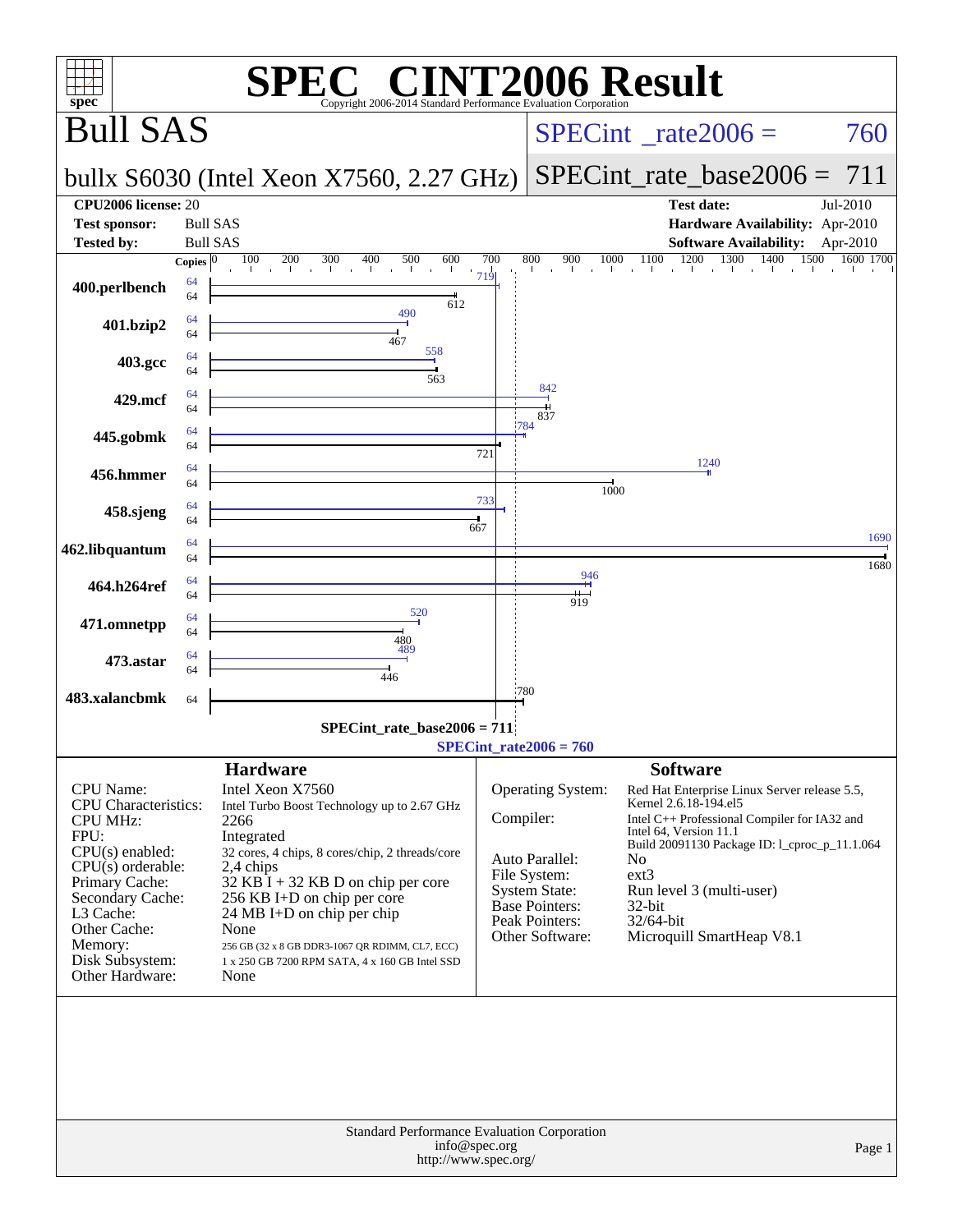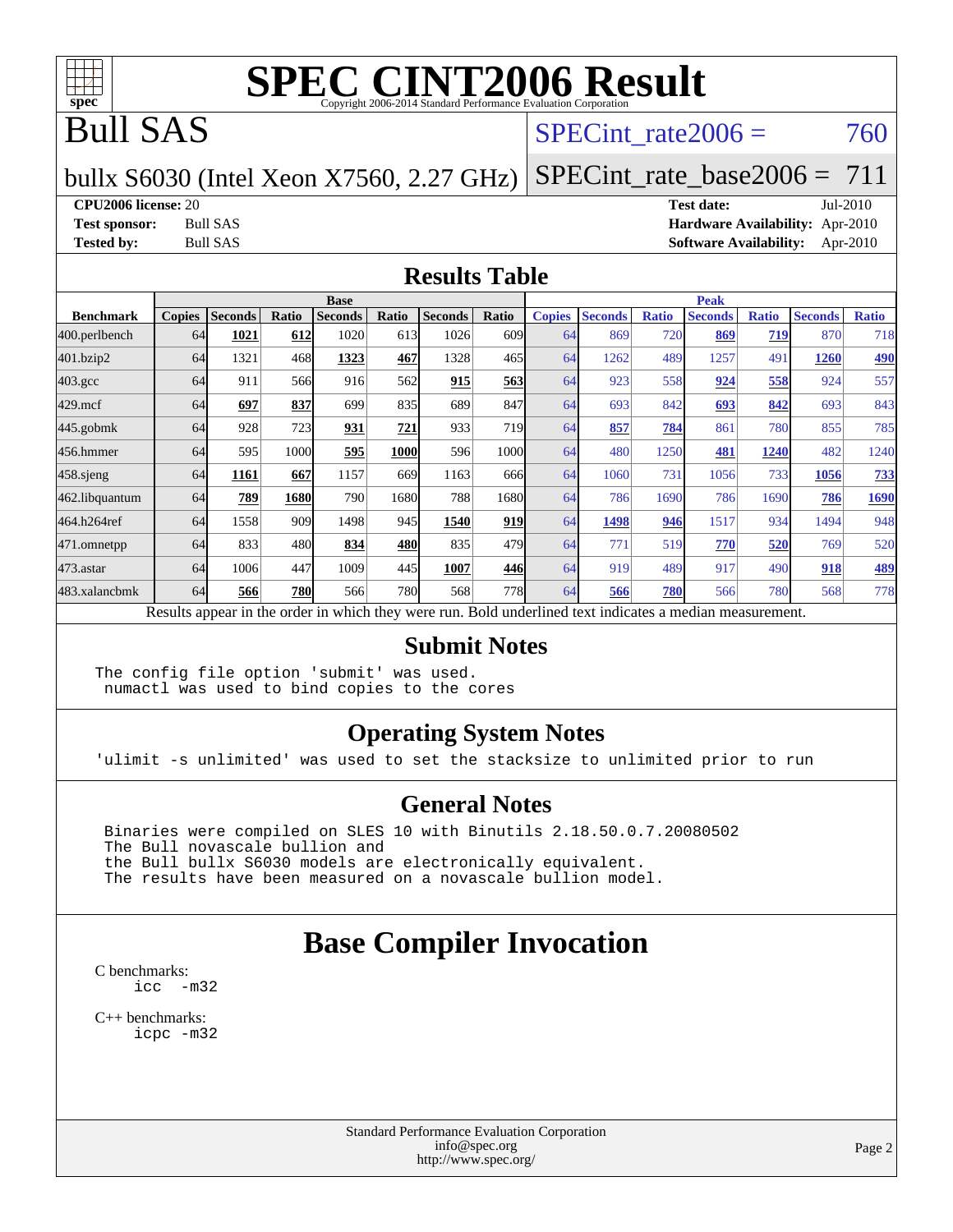

## Bull SAS

#### SPECint rate $2006 = 760$

#### bullx S6030 (Intel Xeon X7560, 2.27 GHz) [SPECint\\_rate\\_base2006 =](http://www.spec.org/auto/cpu2006/Docs/result-fields.html#SPECintratebase2006) 711

#### **[CPU2006 license:](http://www.spec.org/auto/cpu2006/Docs/result-fields.html#CPU2006license)** 20 **[Test date:](http://www.spec.org/auto/cpu2006/Docs/result-fields.html#Testdate)** Jul-2010

**[Test sponsor:](http://www.spec.org/auto/cpu2006/Docs/result-fields.html#Testsponsor)** Bull SAS **[Hardware Availability:](http://www.spec.org/auto/cpu2006/Docs/result-fields.html#HardwareAvailability)** Apr-2010 **[Tested by:](http://www.spec.org/auto/cpu2006/Docs/result-fields.html#Testedby)** Bull SAS **[Software Availability:](http://www.spec.org/auto/cpu2006/Docs/result-fields.html#SoftwareAvailability)** Apr-2010

#### **[Results Table](http://www.spec.org/auto/cpu2006/Docs/result-fields.html#ResultsTable)**

|                    | <b>Base</b>   |                |       |                |       |                                                                                                          |                  | <b>Peak</b>   |                |              |                |              |                |              |
|--------------------|---------------|----------------|-------|----------------|-------|----------------------------------------------------------------------------------------------------------|------------------|---------------|----------------|--------------|----------------|--------------|----------------|--------------|
| <b>Benchmark</b>   | <b>Copies</b> | <b>Seconds</b> | Ratio | <b>Seconds</b> | Ratio | <b>Seconds</b>                                                                                           | Ratio            | <b>Copies</b> | <b>Seconds</b> | <b>Ratio</b> | <b>Seconds</b> | <b>Ratio</b> | <b>Seconds</b> | <b>Ratio</b> |
| 400.perlbench      | 64            | 1021           | 612   | 1020           | 613   | 1026                                                                                                     | 609 <sub>1</sub> | 64            | 869            | 720          | 869            | 719          | 870            | 718          |
| 401.bzip2          | 64            | 1321           | 468   | 1323           | 467   | 1328                                                                                                     | 465              | 64            | 1262           | 489          | 1257           | 491          | 1260           | <b>490</b>   |
| $403.\mathrm{gcc}$ | 64            | 911            | 566   | 916            | 562   | 915                                                                                                      | 563              | 64            | 923            | 558          | 924            | 558          | 924            | 557          |
| $429$ .mcf         | 64            | 697            | 837   | 699            | 835   | 689                                                                                                      | 847              | 64            | 693            | 842          | 693            | 842          | 693            | 843          |
| $445$ .gobmk       | 64            | 928            | 723   | 931            | 721   | 933                                                                                                      | <b>719</b>       | 64            | 857            | 784          | 861            | 780          | 855            | 785          |
| 456.hmmer          | 64            | 595            | 1000  | 595            | 1000  | 596                                                                                                      | 1000l            | 64            | 480            | 1250         | 481            | 1240         | 482            | 1240         |
| $458$ .sjeng       | 64            | 1161           | 667   | 1157           | 669   | 1163                                                                                                     | 666              | 64            | 1060           | 731          | 1056           | 733          | 1056           | <u>733</u>   |
| 462.libquantum     | 64            | 789            | 1680  | 790            | 1680  | 788                                                                                                      | 1680l            | 64            | 786            | 1690         | 786            | 1690         | 786            | 1690         |
| 464.h264ref        | 64            | 1558           | 909   | 1498           | 945   | 1540                                                                                                     | 919              | 64            | 1498           | 946          | 1517           | 934          | 1494           | 948          |
| 471.omnetpp        | 64            | 833            | 480   | 834            | 480   | 835                                                                                                      | 479              | 64            | 771            | 519          | 770            | 520          | 769            | 520          |
| 473.astar          | 64            | 1006           | 447   | 1009           | 445   | 1007                                                                                                     | 446              | 64            | 919            | 489          | 917            | 490          | 918            | 489          |
| 483.xalancbmk      | 64            | 566            | 780   | 566            | 780   | 568                                                                                                      | <b>778</b>       | 64            | 566            | 780          | 566            | 780          | 568            | 778          |
|                    |               |                |       |                |       | Results appear in the order in which they were run. Bold underlined text indicates a median measurement. |                  |               |                |              |                |              |                |              |

#### **[Submit Notes](http://www.spec.org/auto/cpu2006/Docs/result-fields.html#SubmitNotes)**

The config file option 'submit' was used. numactl was used to bind copies to the cores

#### **[Operating System Notes](http://www.spec.org/auto/cpu2006/Docs/result-fields.html#OperatingSystemNotes)**

'ulimit -s unlimited' was used to set the stacksize to unlimited prior to run

#### **[General Notes](http://www.spec.org/auto/cpu2006/Docs/result-fields.html#GeneralNotes)**

 Binaries were compiled on SLES 10 with Binutils 2.18.50.0.7.20080502 The Bull novascale bullion and the Bull bullx S6030 models are electronically equivalent. The results have been measured on a novascale bullion model.

#### **[Base Compiler Invocation](http://www.spec.org/auto/cpu2006/Docs/result-fields.html#BaseCompilerInvocation)**

[C benchmarks](http://www.spec.org/auto/cpu2006/Docs/result-fields.html#Cbenchmarks): [icc -m32](http://www.spec.org/cpu2006/results/res2010q3/cpu2006-20100719-12570.flags.html#user_CCbase_intel_icc_32bit_5ff4a39e364c98233615fdd38438c6f2)

[C++ benchmarks:](http://www.spec.org/auto/cpu2006/Docs/result-fields.html#CXXbenchmarks) [icpc -m32](http://www.spec.org/cpu2006/results/res2010q3/cpu2006-20100719-12570.flags.html#user_CXXbase_intel_icpc_32bit_4e5a5ef1a53fd332b3c49e69c3330699)

> Standard Performance Evaluation Corporation [info@spec.org](mailto:info@spec.org) <http://www.spec.org/>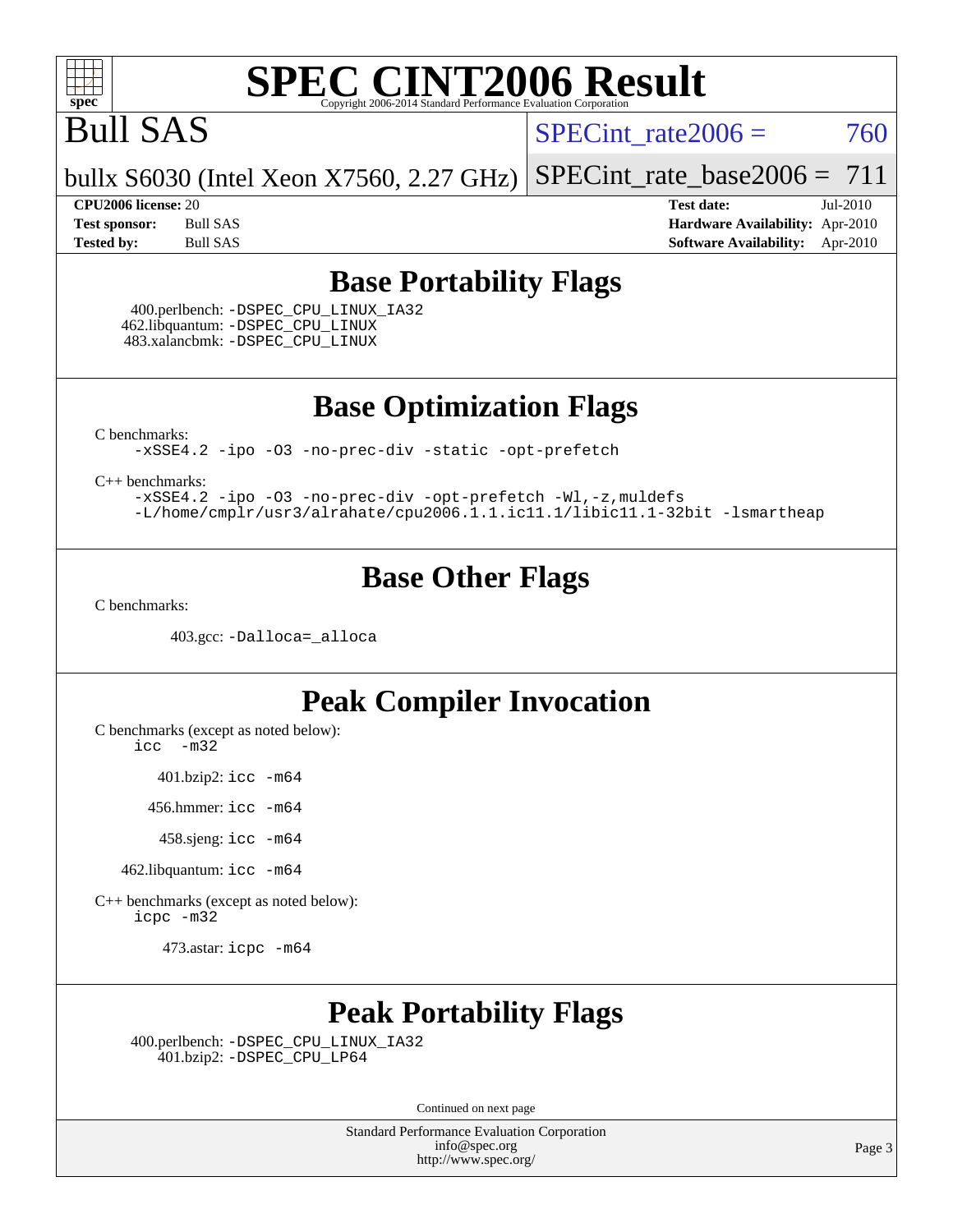

# Bull SAS

SPECint rate $2006 = 760$ 

bullx S6030 (Intel Xeon X7560, 2.27 GHz) [SPECint\\_rate\\_base2006 =](http://www.spec.org/auto/cpu2006/Docs/result-fields.html#SPECintratebase2006)  $711$ 

**[CPU2006 license:](http://www.spec.org/auto/cpu2006/Docs/result-fields.html#CPU2006license)** 20 **[Test date:](http://www.spec.org/auto/cpu2006/Docs/result-fields.html#Testdate)** Jul-2010 **[Test sponsor:](http://www.spec.org/auto/cpu2006/Docs/result-fields.html#Testsponsor)** Bull SAS **[Hardware Availability:](http://www.spec.org/auto/cpu2006/Docs/result-fields.html#HardwareAvailability)** Apr-2010 **[Tested by:](http://www.spec.org/auto/cpu2006/Docs/result-fields.html#Testedby)** Bull SAS **[Software Availability:](http://www.spec.org/auto/cpu2006/Docs/result-fields.html#SoftwareAvailability)** Apr-2010

#### **[Base Portability Flags](http://www.spec.org/auto/cpu2006/Docs/result-fields.html#BasePortabilityFlags)**

 400.perlbench: [-DSPEC\\_CPU\\_LINUX\\_IA32](http://www.spec.org/cpu2006/results/res2010q3/cpu2006-20100719-12570.flags.html#b400.perlbench_baseCPORTABILITY_DSPEC_CPU_LINUX_IA32) 462.libquantum: [-DSPEC\\_CPU\\_LINUX](http://www.spec.org/cpu2006/results/res2010q3/cpu2006-20100719-12570.flags.html#b462.libquantum_baseCPORTABILITY_DSPEC_CPU_LINUX) 483.xalancbmk: [-DSPEC\\_CPU\\_LINUX](http://www.spec.org/cpu2006/results/res2010q3/cpu2006-20100719-12570.flags.html#b483.xalancbmk_baseCXXPORTABILITY_DSPEC_CPU_LINUX)

**[Base Optimization Flags](http://www.spec.org/auto/cpu2006/Docs/result-fields.html#BaseOptimizationFlags)**

[C benchmarks](http://www.spec.org/auto/cpu2006/Docs/result-fields.html#Cbenchmarks):

[-xSSE4.2](http://www.spec.org/cpu2006/results/res2010q3/cpu2006-20100719-12570.flags.html#user_CCbase_f-xSSE42_f91528193cf0b216347adb8b939d4107) [-ipo](http://www.spec.org/cpu2006/results/res2010q3/cpu2006-20100719-12570.flags.html#user_CCbase_f-ipo) [-O3](http://www.spec.org/cpu2006/results/res2010q3/cpu2006-20100719-12570.flags.html#user_CCbase_f-O3) [-no-prec-div](http://www.spec.org/cpu2006/results/res2010q3/cpu2006-20100719-12570.flags.html#user_CCbase_f-no-prec-div) [-static](http://www.spec.org/cpu2006/results/res2010q3/cpu2006-20100719-12570.flags.html#user_CCbase_f-static) [-opt-prefetch](http://www.spec.org/cpu2006/results/res2010q3/cpu2006-20100719-12570.flags.html#user_CCbase_f-opt-prefetch)

[C++ benchmarks:](http://www.spec.org/auto/cpu2006/Docs/result-fields.html#CXXbenchmarks)

[-xSSE4.2](http://www.spec.org/cpu2006/results/res2010q3/cpu2006-20100719-12570.flags.html#user_CXXbase_f-xSSE42_f91528193cf0b216347adb8b939d4107) [-ipo](http://www.spec.org/cpu2006/results/res2010q3/cpu2006-20100719-12570.flags.html#user_CXXbase_f-ipo) [-O3](http://www.spec.org/cpu2006/results/res2010q3/cpu2006-20100719-12570.flags.html#user_CXXbase_f-O3) [-no-prec-div](http://www.spec.org/cpu2006/results/res2010q3/cpu2006-20100719-12570.flags.html#user_CXXbase_f-no-prec-div) [-opt-prefetch](http://www.spec.org/cpu2006/results/res2010q3/cpu2006-20100719-12570.flags.html#user_CXXbase_f-opt-prefetch) [-Wl,-z,muldefs](http://www.spec.org/cpu2006/results/res2010q3/cpu2006-20100719-12570.flags.html#user_CXXbase_link_force_multiple1_74079c344b956b9658436fd1b6dd3a8a) [-L/home/cmplr/usr3/alrahate/cpu2006.1.1.ic11.1/libic11.1-32bit -lsmartheap](http://www.spec.org/cpu2006/results/res2010q3/cpu2006-20100719-12570.flags.html#user_CXXbase_SmartHeap_d86dffe4a79b79ef8890d5cce17030c3)

#### **[Base Other Flags](http://www.spec.org/auto/cpu2006/Docs/result-fields.html#BaseOtherFlags)**

[C benchmarks](http://www.spec.org/auto/cpu2006/Docs/result-fields.html#Cbenchmarks):

403.gcc: [-Dalloca=\\_alloca](http://www.spec.org/cpu2006/results/res2010q3/cpu2006-20100719-12570.flags.html#b403.gcc_baseEXTRA_CFLAGS_Dalloca_be3056838c12de2578596ca5467af7f3)

#### **[Peak Compiler Invocation](http://www.spec.org/auto/cpu2006/Docs/result-fields.html#PeakCompilerInvocation)**

[C benchmarks \(except as noted below\)](http://www.spec.org/auto/cpu2006/Docs/result-fields.html#Cbenchmarksexceptasnotedbelow):

[icc -m32](http://www.spec.org/cpu2006/results/res2010q3/cpu2006-20100719-12570.flags.html#user_CCpeak_intel_icc_32bit_5ff4a39e364c98233615fdd38438c6f2)

401.bzip2: [icc -m64](http://www.spec.org/cpu2006/results/res2010q3/cpu2006-20100719-12570.flags.html#user_peakCCLD401_bzip2_intel_icc_64bit_bda6cc9af1fdbb0edc3795bac97ada53)

456.hmmer: [icc -m64](http://www.spec.org/cpu2006/results/res2010q3/cpu2006-20100719-12570.flags.html#user_peakCCLD456_hmmer_intel_icc_64bit_bda6cc9af1fdbb0edc3795bac97ada53)

458.sjeng: [icc -m64](http://www.spec.org/cpu2006/results/res2010q3/cpu2006-20100719-12570.flags.html#user_peakCCLD458_sjeng_intel_icc_64bit_bda6cc9af1fdbb0edc3795bac97ada53)

462.libquantum: [icc -m64](http://www.spec.org/cpu2006/results/res2010q3/cpu2006-20100719-12570.flags.html#user_peakCCLD462_libquantum_intel_icc_64bit_bda6cc9af1fdbb0edc3795bac97ada53)

[C++ benchmarks \(except as noted below\):](http://www.spec.org/auto/cpu2006/Docs/result-fields.html#CXXbenchmarksexceptasnotedbelow) [icpc -m32](http://www.spec.org/cpu2006/results/res2010q3/cpu2006-20100719-12570.flags.html#user_CXXpeak_intel_icpc_32bit_4e5a5ef1a53fd332b3c49e69c3330699)

473.astar: [icpc -m64](http://www.spec.org/cpu2006/results/res2010q3/cpu2006-20100719-12570.flags.html#user_peakCXXLD473_astar_intel_icpc_64bit_fc66a5337ce925472a5c54ad6a0de310)

#### **[Peak Portability Flags](http://www.spec.org/auto/cpu2006/Docs/result-fields.html#PeakPortabilityFlags)**

 400.perlbench: [-DSPEC\\_CPU\\_LINUX\\_IA32](http://www.spec.org/cpu2006/results/res2010q3/cpu2006-20100719-12570.flags.html#b400.perlbench_peakCPORTABILITY_DSPEC_CPU_LINUX_IA32) 401.bzip2: [-DSPEC\\_CPU\\_LP64](http://www.spec.org/cpu2006/results/res2010q3/cpu2006-20100719-12570.flags.html#suite_peakCPORTABILITY401_bzip2_DSPEC_CPU_LP64)

Continued on next page

Standard Performance Evaluation Corporation [info@spec.org](mailto:info@spec.org) <http://www.spec.org/>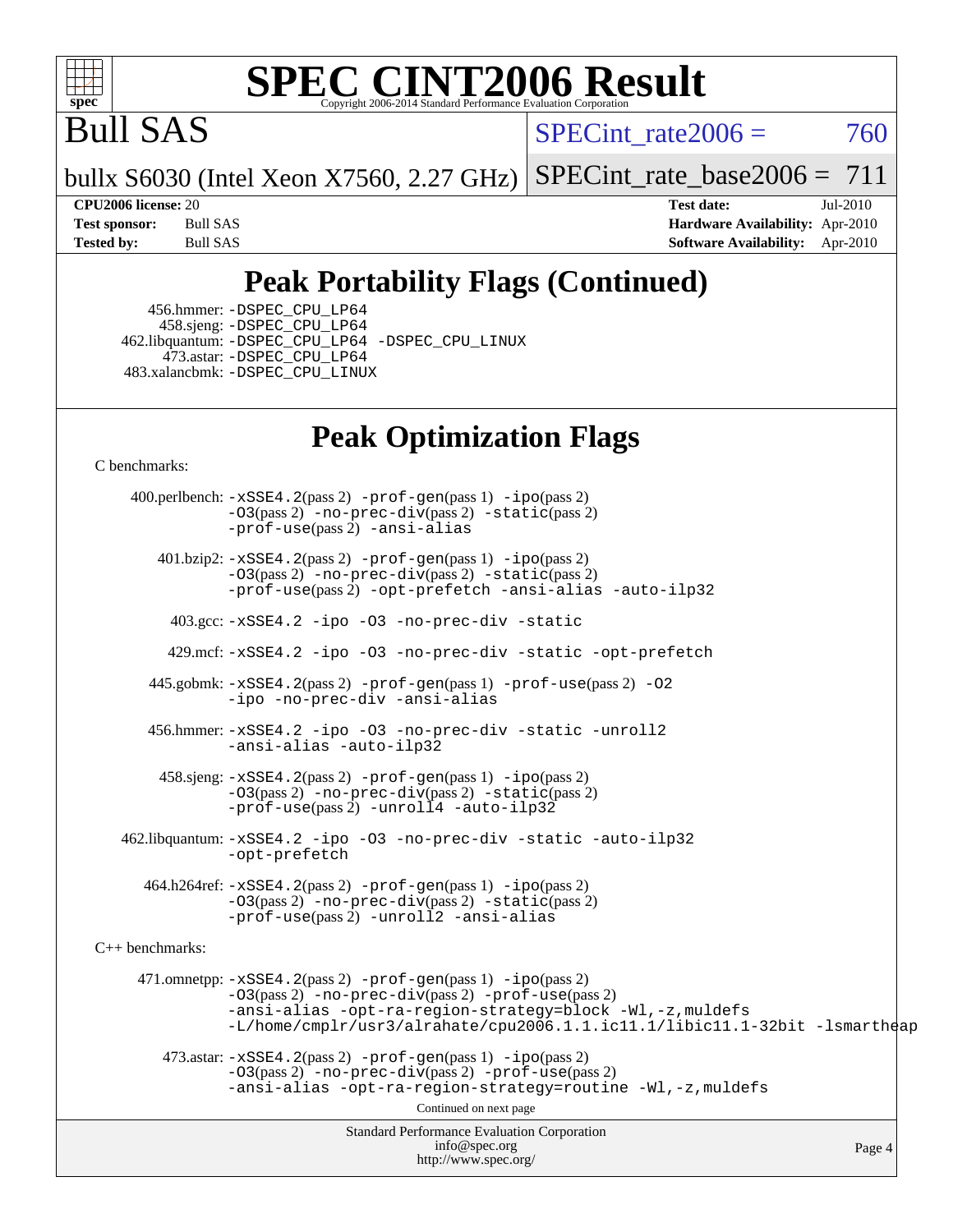

# Bull SAS

SPECint rate $2006 = 760$ 

bullx S6030 (Intel Xeon X7560, 2.27 GHz) [SPECint\\_rate\\_base2006 =](http://www.spec.org/auto/cpu2006/Docs/result-fields.html#SPECintratebase2006)  $711$ 

**[CPU2006 license:](http://www.spec.org/auto/cpu2006/Docs/result-fields.html#CPU2006license)** 20 **[Test date:](http://www.spec.org/auto/cpu2006/Docs/result-fields.html#Testdate)** Jul-2010 **[Test sponsor:](http://www.spec.org/auto/cpu2006/Docs/result-fields.html#Testsponsor)** Bull SAS **[Hardware Availability:](http://www.spec.org/auto/cpu2006/Docs/result-fields.html#HardwareAvailability)** Apr-2010 **[Tested by:](http://www.spec.org/auto/cpu2006/Docs/result-fields.html#Testedby)** Bull SAS **[Software Availability:](http://www.spec.org/auto/cpu2006/Docs/result-fields.html#SoftwareAvailability)** Apr-2010

## **[Peak Portability Flags \(Continued\)](http://www.spec.org/auto/cpu2006/Docs/result-fields.html#PeakPortabilityFlags)**

 456.hmmer: [-DSPEC\\_CPU\\_LP64](http://www.spec.org/cpu2006/results/res2010q3/cpu2006-20100719-12570.flags.html#suite_peakCPORTABILITY456_hmmer_DSPEC_CPU_LP64) 458.sjeng: [-DSPEC\\_CPU\\_LP64](http://www.spec.org/cpu2006/results/res2010q3/cpu2006-20100719-12570.flags.html#suite_peakCPORTABILITY458_sjeng_DSPEC_CPU_LP64) 462.libquantum: [-DSPEC\\_CPU\\_LP64](http://www.spec.org/cpu2006/results/res2010q3/cpu2006-20100719-12570.flags.html#suite_peakCPORTABILITY462_libquantum_DSPEC_CPU_LP64) [-DSPEC\\_CPU\\_LINUX](http://www.spec.org/cpu2006/results/res2010q3/cpu2006-20100719-12570.flags.html#b462.libquantum_peakCPORTABILITY_DSPEC_CPU_LINUX) 473.astar: [-DSPEC\\_CPU\\_LP64](http://www.spec.org/cpu2006/results/res2010q3/cpu2006-20100719-12570.flags.html#suite_peakCXXPORTABILITY473_astar_DSPEC_CPU_LP64) 483.xalancbmk: [-DSPEC\\_CPU\\_LINUX](http://www.spec.org/cpu2006/results/res2010q3/cpu2006-20100719-12570.flags.html#b483.xalancbmk_peakCXXPORTABILITY_DSPEC_CPU_LINUX)

## **[Peak Optimization Flags](http://www.spec.org/auto/cpu2006/Docs/result-fields.html#PeakOptimizationFlags)**

[C benchmarks](http://www.spec.org/auto/cpu2006/Docs/result-fields.html#Cbenchmarks):

Standard Performance Evaluation Corporation [info@spec.org](mailto:info@spec.org) <http://www.spec.org/> Page 4 400.perlbench: [-xSSE4.2](http://www.spec.org/cpu2006/results/res2010q3/cpu2006-20100719-12570.flags.html#user_peakPASS2_CFLAGSPASS2_LDCFLAGS400_perlbench_f-xSSE42_f91528193cf0b216347adb8b939d4107)(pass 2) [-prof-gen](http://www.spec.org/cpu2006/results/res2010q3/cpu2006-20100719-12570.flags.html#user_peakPASS1_CFLAGSPASS1_LDCFLAGS400_perlbench_prof_gen_e43856698f6ca7b7e442dfd80e94a8fc)(pass 1) [-ipo](http://www.spec.org/cpu2006/results/res2010q3/cpu2006-20100719-12570.flags.html#user_peakPASS2_CFLAGSPASS2_LDCFLAGS400_perlbench_f-ipo)(pass 2) [-O3](http://www.spec.org/cpu2006/results/res2010q3/cpu2006-20100719-12570.flags.html#user_peakPASS2_CFLAGSPASS2_LDCFLAGS400_perlbench_f-O3)(pass 2) [-no-prec-div](http://www.spec.org/cpu2006/results/res2010q3/cpu2006-20100719-12570.flags.html#user_peakPASS2_CFLAGSPASS2_LDCFLAGS400_perlbench_f-no-prec-div)(pass 2) [-static](http://www.spec.org/cpu2006/results/res2010q3/cpu2006-20100719-12570.flags.html#user_peakPASS2_CFLAGSPASS2_LDCFLAGS400_perlbench_f-static)(pass 2) [-prof-use](http://www.spec.org/cpu2006/results/res2010q3/cpu2006-20100719-12570.flags.html#user_peakPASS2_CFLAGSPASS2_LDCFLAGS400_perlbench_prof_use_bccf7792157ff70d64e32fe3e1250b55)(pass 2) [-ansi-alias](http://www.spec.org/cpu2006/results/res2010q3/cpu2006-20100719-12570.flags.html#user_peakCOPTIMIZE400_perlbench_f-ansi-alias) 401.bzip2: [-xSSE4.2](http://www.spec.org/cpu2006/results/res2010q3/cpu2006-20100719-12570.flags.html#user_peakPASS2_CFLAGSPASS2_LDCFLAGS401_bzip2_f-xSSE42_f91528193cf0b216347adb8b939d4107)(pass 2) [-prof-gen](http://www.spec.org/cpu2006/results/res2010q3/cpu2006-20100719-12570.flags.html#user_peakPASS1_CFLAGSPASS1_LDCFLAGS401_bzip2_prof_gen_e43856698f6ca7b7e442dfd80e94a8fc)(pass 1) [-ipo](http://www.spec.org/cpu2006/results/res2010q3/cpu2006-20100719-12570.flags.html#user_peakPASS2_CFLAGSPASS2_LDCFLAGS401_bzip2_f-ipo)(pass 2) [-O3](http://www.spec.org/cpu2006/results/res2010q3/cpu2006-20100719-12570.flags.html#user_peakPASS2_CFLAGSPASS2_LDCFLAGS401_bzip2_f-O3)(pass 2) [-no-prec-div](http://www.spec.org/cpu2006/results/res2010q3/cpu2006-20100719-12570.flags.html#user_peakPASS2_CFLAGSPASS2_LDCFLAGS401_bzip2_f-no-prec-div)(pass 2) [-static](http://www.spec.org/cpu2006/results/res2010q3/cpu2006-20100719-12570.flags.html#user_peakPASS2_CFLAGSPASS2_LDCFLAGS401_bzip2_f-static)(pass 2) [-prof-use](http://www.spec.org/cpu2006/results/res2010q3/cpu2006-20100719-12570.flags.html#user_peakPASS2_CFLAGSPASS2_LDCFLAGS401_bzip2_prof_use_bccf7792157ff70d64e32fe3e1250b55)(pass 2) [-opt-prefetch](http://www.spec.org/cpu2006/results/res2010q3/cpu2006-20100719-12570.flags.html#user_peakCOPTIMIZE401_bzip2_f-opt-prefetch) [-ansi-alias](http://www.spec.org/cpu2006/results/res2010q3/cpu2006-20100719-12570.flags.html#user_peakCOPTIMIZE401_bzip2_f-ansi-alias) [-auto-ilp32](http://www.spec.org/cpu2006/results/res2010q3/cpu2006-20100719-12570.flags.html#user_peakCOPTIMIZE401_bzip2_f-auto-ilp32) 403.gcc: [-xSSE4.2](http://www.spec.org/cpu2006/results/res2010q3/cpu2006-20100719-12570.flags.html#user_peakCOPTIMIZE403_gcc_f-xSSE42_f91528193cf0b216347adb8b939d4107) [-ipo](http://www.spec.org/cpu2006/results/res2010q3/cpu2006-20100719-12570.flags.html#user_peakCOPTIMIZE403_gcc_f-ipo) [-O3](http://www.spec.org/cpu2006/results/res2010q3/cpu2006-20100719-12570.flags.html#user_peakCOPTIMIZE403_gcc_f-O3) [-no-prec-div](http://www.spec.org/cpu2006/results/res2010q3/cpu2006-20100719-12570.flags.html#user_peakCOPTIMIZE403_gcc_f-no-prec-div) [-static](http://www.spec.org/cpu2006/results/res2010q3/cpu2006-20100719-12570.flags.html#user_peakCOPTIMIZE403_gcc_f-static) 429.mcf: [-xSSE4.2](http://www.spec.org/cpu2006/results/res2010q3/cpu2006-20100719-12570.flags.html#user_peakCOPTIMIZE429_mcf_f-xSSE42_f91528193cf0b216347adb8b939d4107) [-ipo](http://www.spec.org/cpu2006/results/res2010q3/cpu2006-20100719-12570.flags.html#user_peakCOPTIMIZE429_mcf_f-ipo) [-O3](http://www.spec.org/cpu2006/results/res2010q3/cpu2006-20100719-12570.flags.html#user_peakCOPTIMIZE429_mcf_f-O3) [-no-prec-div](http://www.spec.org/cpu2006/results/res2010q3/cpu2006-20100719-12570.flags.html#user_peakCOPTIMIZE429_mcf_f-no-prec-div) [-static](http://www.spec.org/cpu2006/results/res2010q3/cpu2006-20100719-12570.flags.html#user_peakCOPTIMIZE429_mcf_f-static) [-opt-prefetch](http://www.spec.org/cpu2006/results/res2010q3/cpu2006-20100719-12570.flags.html#user_peakCOPTIMIZE429_mcf_f-opt-prefetch) 445.gobmk: [-xSSE4.2](http://www.spec.org/cpu2006/results/res2010q3/cpu2006-20100719-12570.flags.html#user_peakPASS2_CFLAGSPASS2_LDCFLAGS445_gobmk_f-xSSE42_f91528193cf0b216347adb8b939d4107)(pass 2) [-prof-gen](http://www.spec.org/cpu2006/results/res2010q3/cpu2006-20100719-12570.flags.html#user_peakPASS1_CFLAGSPASS1_LDCFLAGS445_gobmk_prof_gen_e43856698f6ca7b7e442dfd80e94a8fc)(pass 1) [-prof-use](http://www.spec.org/cpu2006/results/res2010q3/cpu2006-20100719-12570.flags.html#user_peakPASS2_CFLAGSPASS2_LDCFLAGS445_gobmk_prof_use_bccf7792157ff70d64e32fe3e1250b55)(pass 2) [-O2](http://www.spec.org/cpu2006/results/res2010q3/cpu2006-20100719-12570.flags.html#user_peakCOPTIMIZE445_gobmk_f-O2) [-ipo](http://www.spec.org/cpu2006/results/res2010q3/cpu2006-20100719-12570.flags.html#user_peakCOPTIMIZE445_gobmk_f-ipo) [-no-prec-div](http://www.spec.org/cpu2006/results/res2010q3/cpu2006-20100719-12570.flags.html#user_peakCOPTIMIZE445_gobmk_f-no-prec-div) [-ansi-alias](http://www.spec.org/cpu2006/results/res2010q3/cpu2006-20100719-12570.flags.html#user_peakCOPTIMIZE445_gobmk_f-ansi-alias) 456.hmmer: [-xSSE4.2](http://www.spec.org/cpu2006/results/res2010q3/cpu2006-20100719-12570.flags.html#user_peakCOPTIMIZE456_hmmer_f-xSSE42_f91528193cf0b216347adb8b939d4107) [-ipo](http://www.spec.org/cpu2006/results/res2010q3/cpu2006-20100719-12570.flags.html#user_peakCOPTIMIZE456_hmmer_f-ipo) [-O3](http://www.spec.org/cpu2006/results/res2010q3/cpu2006-20100719-12570.flags.html#user_peakCOPTIMIZE456_hmmer_f-O3) [-no-prec-div](http://www.spec.org/cpu2006/results/res2010q3/cpu2006-20100719-12570.flags.html#user_peakCOPTIMIZE456_hmmer_f-no-prec-div) [-static](http://www.spec.org/cpu2006/results/res2010q3/cpu2006-20100719-12570.flags.html#user_peakCOPTIMIZE456_hmmer_f-static) [-unroll2](http://www.spec.org/cpu2006/results/res2010q3/cpu2006-20100719-12570.flags.html#user_peakCOPTIMIZE456_hmmer_f-unroll_784dae83bebfb236979b41d2422d7ec2) [-ansi-alias](http://www.spec.org/cpu2006/results/res2010q3/cpu2006-20100719-12570.flags.html#user_peakCOPTIMIZE456_hmmer_f-ansi-alias) [-auto-ilp32](http://www.spec.org/cpu2006/results/res2010q3/cpu2006-20100719-12570.flags.html#user_peakCOPTIMIZE456_hmmer_f-auto-ilp32) 458.sjeng: [-xSSE4.2](http://www.spec.org/cpu2006/results/res2010q3/cpu2006-20100719-12570.flags.html#user_peakPASS2_CFLAGSPASS2_LDCFLAGS458_sjeng_f-xSSE42_f91528193cf0b216347adb8b939d4107)(pass 2) [-prof-gen](http://www.spec.org/cpu2006/results/res2010q3/cpu2006-20100719-12570.flags.html#user_peakPASS1_CFLAGSPASS1_LDCFLAGS458_sjeng_prof_gen_e43856698f6ca7b7e442dfd80e94a8fc)(pass 1) [-ipo](http://www.spec.org/cpu2006/results/res2010q3/cpu2006-20100719-12570.flags.html#user_peakPASS2_CFLAGSPASS2_LDCFLAGS458_sjeng_f-ipo)(pass 2) [-O3](http://www.spec.org/cpu2006/results/res2010q3/cpu2006-20100719-12570.flags.html#user_peakPASS2_CFLAGSPASS2_LDCFLAGS458_sjeng_f-O3)(pass 2) [-no-prec-div](http://www.spec.org/cpu2006/results/res2010q3/cpu2006-20100719-12570.flags.html#user_peakPASS2_CFLAGSPASS2_LDCFLAGS458_sjeng_f-no-prec-div)(pass 2) [-static](http://www.spec.org/cpu2006/results/res2010q3/cpu2006-20100719-12570.flags.html#user_peakPASS2_CFLAGSPASS2_LDCFLAGS458_sjeng_f-static)(pass 2) [-prof-use](http://www.spec.org/cpu2006/results/res2010q3/cpu2006-20100719-12570.flags.html#user_peakPASS2_CFLAGSPASS2_LDCFLAGS458_sjeng_prof_use_bccf7792157ff70d64e32fe3e1250b55)(pass 2) [-unroll4](http://www.spec.org/cpu2006/results/res2010q3/cpu2006-20100719-12570.flags.html#user_peakCOPTIMIZE458_sjeng_f-unroll_4e5e4ed65b7fd20bdcd365bec371b81f) [-auto-ilp32](http://www.spec.org/cpu2006/results/res2010q3/cpu2006-20100719-12570.flags.html#user_peakCOPTIMIZE458_sjeng_f-auto-ilp32) 462.libquantum: [-xSSE4.2](http://www.spec.org/cpu2006/results/res2010q3/cpu2006-20100719-12570.flags.html#user_peakCOPTIMIZE462_libquantum_f-xSSE42_f91528193cf0b216347adb8b939d4107) [-ipo](http://www.spec.org/cpu2006/results/res2010q3/cpu2006-20100719-12570.flags.html#user_peakCOPTIMIZE462_libquantum_f-ipo) [-O3](http://www.spec.org/cpu2006/results/res2010q3/cpu2006-20100719-12570.flags.html#user_peakCOPTIMIZE462_libquantum_f-O3) [-no-prec-div](http://www.spec.org/cpu2006/results/res2010q3/cpu2006-20100719-12570.flags.html#user_peakCOPTIMIZE462_libquantum_f-no-prec-div) [-static](http://www.spec.org/cpu2006/results/res2010q3/cpu2006-20100719-12570.flags.html#user_peakCOPTIMIZE462_libquantum_f-static) [-auto-ilp32](http://www.spec.org/cpu2006/results/res2010q3/cpu2006-20100719-12570.flags.html#user_peakCOPTIMIZE462_libquantum_f-auto-ilp32) [-opt-prefetch](http://www.spec.org/cpu2006/results/res2010q3/cpu2006-20100719-12570.flags.html#user_peakCOPTIMIZE462_libquantum_f-opt-prefetch) 464.h264ref: [-xSSE4.2](http://www.spec.org/cpu2006/results/res2010q3/cpu2006-20100719-12570.flags.html#user_peakPASS2_CFLAGSPASS2_LDCFLAGS464_h264ref_f-xSSE42_f91528193cf0b216347adb8b939d4107)(pass 2) [-prof-gen](http://www.spec.org/cpu2006/results/res2010q3/cpu2006-20100719-12570.flags.html#user_peakPASS1_CFLAGSPASS1_LDCFLAGS464_h264ref_prof_gen_e43856698f6ca7b7e442dfd80e94a8fc)(pass 1) [-ipo](http://www.spec.org/cpu2006/results/res2010q3/cpu2006-20100719-12570.flags.html#user_peakPASS2_CFLAGSPASS2_LDCFLAGS464_h264ref_f-ipo)(pass 2) [-O3](http://www.spec.org/cpu2006/results/res2010q3/cpu2006-20100719-12570.flags.html#user_peakPASS2_CFLAGSPASS2_LDCFLAGS464_h264ref_f-O3)(pass 2) [-no-prec-div](http://www.spec.org/cpu2006/results/res2010q3/cpu2006-20100719-12570.flags.html#user_peakPASS2_CFLAGSPASS2_LDCFLAGS464_h264ref_f-no-prec-div)(pass 2) [-static](http://www.spec.org/cpu2006/results/res2010q3/cpu2006-20100719-12570.flags.html#user_peakPASS2_CFLAGSPASS2_LDCFLAGS464_h264ref_f-static)(pass 2) [-prof-use](http://www.spec.org/cpu2006/results/res2010q3/cpu2006-20100719-12570.flags.html#user_peakPASS2_CFLAGSPASS2_LDCFLAGS464_h264ref_prof_use_bccf7792157ff70d64e32fe3e1250b55)(pass 2) [-unroll2](http://www.spec.org/cpu2006/results/res2010q3/cpu2006-20100719-12570.flags.html#user_peakCOPTIMIZE464_h264ref_f-unroll_784dae83bebfb236979b41d2422d7ec2) [-ansi-alias](http://www.spec.org/cpu2006/results/res2010q3/cpu2006-20100719-12570.flags.html#user_peakCOPTIMIZE464_h264ref_f-ansi-alias) [C++ benchmarks:](http://www.spec.org/auto/cpu2006/Docs/result-fields.html#CXXbenchmarks) 471.omnetpp: [-xSSE4.2](http://www.spec.org/cpu2006/results/res2010q3/cpu2006-20100719-12570.flags.html#user_peakPASS2_CXXFLAGSPASS2_LDCXXFLAGS471_omnetpp_f-xSSE42_f91528193cf0b216347adb8b939d4107)(pass 2) [-prof-gen](http://www.spec.org/cpu2006/results/res2010q3/cpu2006-20100719-12570.flags.html#user_peakPASS1_CXXFLAGSPASS1_LDCXXFLAGS471_omnetpp_prof_gen_e43856698f6ca7b7e442dfd80e94a8fc)(pass 1) [-ipo](http://www.spec.org/cpu2006/results/res2010q3/cpu2006-20100719-12570.flags.html#user_peakPASS2_CXXFLAGSPASS2_LDCXXFLAGS471_omnetpp_f-ipo)(pass 2) [-O3](http://www.spec.org/cpu2006/results/res2010q3/cpu2006-20100719-12570.flags.html#user_peakPASS2_CXXFLAGSPASS2_LDCXXFLAGS471_omnetpp_f-O3)(pass 2) [-no-prec-div](http://www.spec.org/cpu2006/results/res2010q3/cpu2006-20100719-12570.flags.html#user_peakPASS2_CXXFLAGSPASS2_LDCXXFLAGS471_omnetpp_f-no-prec-div)(pass 2) [-prof-use](http://www.spec.org/cpu2006/results/res2010q3/cpu2006-20100719-12570.flags.html#user_peakPASS2_CXXFLAGSPASS2_LDCXXFLAGS471_omnetpp_prof_use_bccf7792157ff70d64e32fe3e1250b55)(pass 2) [-ansi-alias](http://www.spec.org/cpu2006/results/res2010q3/cpu2006-20100719-12570.flags.html#user_peakCXXOPTIMIZE471_omnetpp_f-ansi-alias) [-opt-ra-region-strategy=block](http://www.spec.org/cpu2006/results/res2010q3/cpu2006-20100719-12570.flags.html#user_peakCXXOPTIMIZE471_omnetpp_f-opt-ra-region-strategy-block_a0a37c372d03933b2a18d4af463c1f69) [-Wl,-z,muldefs](http://www.spec.org/cpu2006/results/res2010q3/cpu2006-20100719-12570.flags.html#user_peakEXTRA_LDFLAGS471_omnetpp_link_force_multiple1_74079c344b956b9658436fd1b6dd3a8a) [-L/home/cmplr/usr3/alrahate/cpu2006.1.1.ic11.1/libic11.1-32bit -lsmartheap](http://www.spec.org/cpu2006/results/res2010q3/cpu2006-20100719-12570.flags.html#user_peakEXTRA_LIBS471_omnetpp_SmartHeap_d86dffe4a79b79ef8890d5cce17030c3)  $473.\text{astar: } -xSSE4$ .  $2(\text{pass 2})$   $-\text{prof-gen}(\text{pass 1})$   $-i\text{po}(\text{pass 2})$ [-O3](http://www.spec.org/cpu2006/results/res2010q3/cpu2006-20100719-12570.flags.html#user_peakPASS2_CXXFLAGSPASS2_LDCXXFLAGS473_astar_f-O3)(pass 2) [-no-prec-div](http://www.spec.org/cpu2006/results/res2010q3/cpu2006-20100719-12570.flags.html#user_peakPASS2_CXXFLAGSPASS2_LDCXXFLAGS473_astar_f-no-prec-div)(pass 2) [-prof-use](http://www.spec.org/cpu2006/results/res2010q3/cpu2006-20100719-12570.flags.html#user_peakPASS2_CXXFLAGSPASS2_LDCXXFLAGS473_astar_prof_use_bccf7792157ff70d64e32fe3e1250b55)(pass 2) [-ansi-alias](http://www.spec.org/cpu2006/results/res2010q3/cpu2006-20100719-12570.flags.html#user_peakCXXOPTIMIZE473_astar_f-ansi-alias) [-opt-ra-region-strategy=routine](http://www.spec.org/cpu2006/results/res2010q3/cpu2006-20100719-12570.flags.html#user_peakCXXOPTIMIZE473_astar_f-opt-ra-region-strategy-routine_ba086ea3b1d46a52e1238e2ca173ed44) [-Wl,-z,muldefs](http://www.spec.org/cpu2006/results/res2010q3/cpu2006-20100719-12570.flags.html#user_peakEXTRA_LDFLAGS473_astar_link_force_multiple1_74079c344b956b9658436fd1b6dd3a8a) Continued on next page